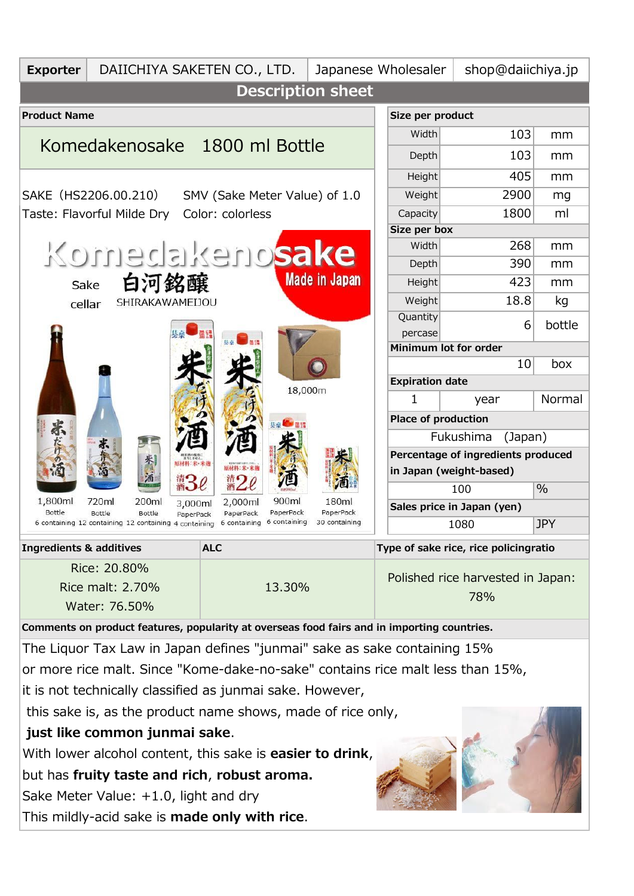| <b>Exporter</b>                                                                                                                                            | DAIICHIYA SAKETEN CO., LTD. |                            | Japanese Wholesaler                       | shop@daiichiya.jp                   |          |  |
|------------------------------------------------------------------------------------------------------------------------------------------------------------|-----------------------------|----------------------------|-------------------------------------------|-------------------------------------|----------|--|
| <b>Description sheet</b>                                                                                                                                   |                             |                            |                                           |                                     |          |  |
| <b>Product Name</b>                                                                                                                                        |                             |                            | Size per product                          |                                     |          |  |
| Komedakenosake 1800 ml Bottle                                                                                                                              |                             |                            | Width                                     | 103                                 | mm       |  |
|                                                                                                                                                            |                             |                            | Depth                                     | 103                                 | mm       |  |
| SAKE (HS2206.00.210)<br>SMV (Sake Meter Value) of 1.0                                                                                                      |                             |                            | Height                                    | 405                                 | mm       |  |
|                                                                                                                                                            |                             |                            | Weight                                    | 2900                                | mg       |  |
| Taste: Flavorful Milde Dry<br>Color: colorless                                                                                                             |                             |                            | Capacity                                  | 1800                                | ml       |  |
|                                                                                                                                                            |                             |                            | Size per box<br>Width                     |                                     |          |  |
| Komedakenosake                                                                                                                                             |                             |                            |                                           | 268<br>390                          | mm       |  |
| <b>Made in Japan</b><br>白河銘醸<br>Sake<br>SHIRAKAWAMEIJOU<br>cellar                                                                                          |                             |                            | Depth<br>Height                           | 423                                 | mm<br>mm |  |
|                                                                                                                                                            |                             |                            | Weight                                    | 18.8                                | kg       |  |
|                                                                                                                                                            |                             |                            | Quantity                                  |                                     | bottle   |  |
|                                                                                                                                                            |                             |                            | percase                                   | 6                                   |          |  |
|                                                                                                                                                            |                             | 18,000m                    |                                           | Minimum lot for order               |          |  |
|                                                                                                                                                            |                             |                            |                                           | 10<br>box<br><b>Expiration date</b> |          |  |
|                                                                                                                                                            |                             |                            | 1                                         | year                                | Normal   |  |
|                                                                                                                                                            |                             |                            |                                           | Place of production                 |          |  |
| 赤                                                                                                                                                          |                             |                            | Fukushima<br>(Japan)                      |                                     |          |  |
| 原材料:米·米麹                                                                                                                                                   |                             |                            | Percentage of ingredients produced        |                                     |          |  |
| 原材料:米·米县                                                                                                                                                   |                             |                            | in Japan (weight-based)                   |                                     |          |  |
| 1,800ml<br>720ml<br>200ml<br>3,000ml                                                                                                                       | 900ml<br>2,000ml            | 180ml                      | $\%$<br>100<br>Sales price in Japan (yen) |                                     |          |  |
| Bottle<br>PaperPack<br>Bottle<br>Bottle<br>PaperPack<br>PaperPack<br>6 containing<br>6 containing 12 containing 12 containing 4 containing<br>6 containing |                             | PaperPack<br>30 containing | 1080<br><b>JPY</b>                        |                                     |          |  |
| <b>Ingredients &amp; additives</b><br><b>ALC</b>                                                                                                           |                             |                            | Type of sake rice, rice policingratio     |                                     |          |  |
| Rice: 20.80%                                                                                                                                               |                             |                            |                                           |                                     |          |  |
| Rice malt: 2.70%<br>13.30%<br>Water: 76.50%                                                                                                                |                             |                            | Polished rice harvested in Japan:         |                                     |          |  |
|                                                                                                                                                            |                             |                            | 78%                                       |                                     |          |  |
| Comments on product features, popularity at overseas food fairs and in importing countries.                                                                |                             |                            |                                           |                                     |          |  |
| The Liquor Tax Law in Japan defines "junmai" sake as sake containing 15%                                                                                   |                             |                            |                                           |                                     |          |  |
| or more rice malt. Since "Kome-dake-no-sake" contains rice malt less than 15%,                                                                             |                             |                            |                                           |                                     |          |  |
| it is not technically classified as junmai sake. However,                                                                                                  |                             |                            |                                           |                                     |          |  |
| this sake is, as the product name shows, made of rice only,                                                                                                |                             |                            |                                           |                                     |          |  |
| just like common junmai sake.                                                                                                                              |                             |                            |                                           |                                     |          |  |
| With lower alcohol content, this sake is <b>easier to drink</b> ,                                                                                          |                             |                            |                                           |                                     |          |  |
| but has fruity taste and rich, robust aroma.                                                                                                               |                             |                            |                                           |                                     |          |  |
| Sake Meter Value: $+1.0$ , light and dry                                                                                                                   |                             |                            |                                           |                                     |          |  |
| This mildly-acid sake is <b>made only with rice</b> .                                                                                                      |                             |                            |                                           |                                     |          |  |